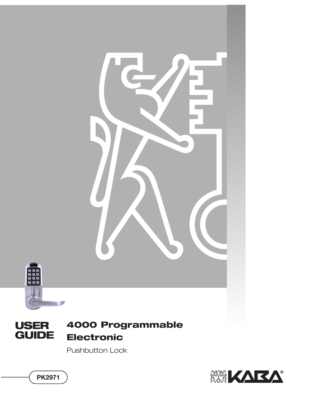

Pushbutton Lock



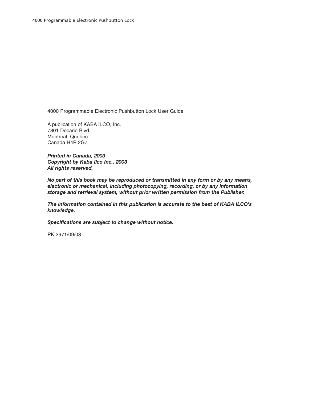4000 Programmable Electronic Pushbutton Lock User Guide

A publication of KABA ILCO, Inc. 7301 Decarie Blvd. Montreal, Quebec Canada H4P 2G7

*Printed in Canada, 2003 Copyright by Kaba Ilco Inc., 2003 All rights reserved.*

*No part of this book may be reproduced or transmitted in any form or by any means, electronic or mechanical, including photocopying, recording, or by any information storage and retrieval system, without prior written permission from the Publisher.*

*The information contained in this publication is accurate to the best of KABA ILCO's knowledge.*

*Specifications are subject to change without notice.*

PK 2971/09/03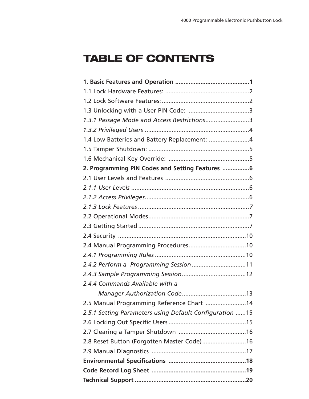# **TABLE OF CONTENTS**

| 1.3.1 Passage Mode and Access Restrictions3              |
|----------------------------------------------------------|
|                                                          |
| 1.4 Low Batteries and Battery Replacement: 4             |
|                                                          |
|                                                          |
| 2. Programming PIN Codes and Setting Features 6          |
|                                                          |
|                                                          |
|                                                          |
|                                                          |
|                                                          |
|                                                          |
|                                                          |
|                                                          |
|                                                          |
| 2.4.2 Perform a Programming Session 11                   |
|                                                          |
| 2.4.4 Commands Available with a                          |
|                                                          |
| 2.5 Manual Programming Reference Chart 14                |
| 2.5.1 Setting Parameters using Default Configuration  15 |
|                                                          |
|                                                          |
| 2.8 Reset Button (Forgotten Master Code) 16              |
|                                                          |
|                                                          |
|                                                          |
|                                                          |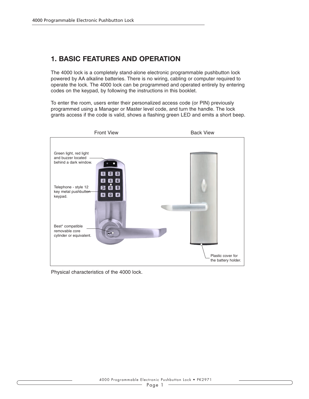### **1. BASIC FEATURES AND OPERATION**

The 4000 lock is a completely stand-alone electronic programmable pushbutton lock powered by AA alkaline batteries. There is no wiring, cabling or computer required to operate the lock. The 4000 lock can be programmed and operated entirely by entering codes on the keypad, by following the instructions in this booklet.

To enter the room, users enter their personalized access code (or PIN) previously programmed using a Manager or Master level code, and turn the handle. The lock grants access if the code is valid, shows a flashing green LED and emits a short beep.



Physical characteristics of the 4000 lock.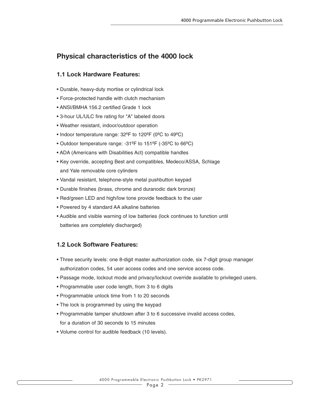### **Physical characteristics of the 4000 lock**

### **1.1 Lock Hardware Features:**

- Durable, heavy-duty mortise or cylindrical lock
- Force-protected handle with clutch mechanism
- ANSI/BMHA 156.2 certified Grade 1 lock
- 3-hour UL/ULC fire rating for "A" labeled doors
- Weather resistant, indoor/outdoor operation
- Indoor temperature range: 32ºF to 120ºF (0ºC to 49ºC)
- Outdoor temperature range: -31ºF to 151ºF (-35ºC to 66ºC)
- ADA (Americans with Disabilities Act) compatible handles
- Key override, accepting Best and compatibles, Medeco/ASSA, Schlage and Yale removable core cylinders
- Vandal resistant, telephone-style metal pushbutton keypad
- Durable finishes (brass, chrome and duranodic dark bronze)
- Red/green LED and high/low tone provide feedback to the user
- Powered by 4 standard AA alkaline batteries
- Audible and visible warning of low batteries (lock continues to function until batteries are completely discharged)

### **1.2 Lock Software Features:**

- Three security levels: one 8-digit master authorization code, six 7-digit group manager authorization codes, 54 user access codes and one service access code.
- Passage mode, lockout mode and privacy/lockout override available to privileged users.
- Programmable user code length, from 3 to 6 digits
- Programmable unlock time from 1 to 20 seconds
- The lock is programmed by using the keypad
- Programmable tamper shutdown after 3 to 6 successive invalid access codes, for a duration of 30 seconds to 15 minutes
- Volume control for audible feedback (10 levels).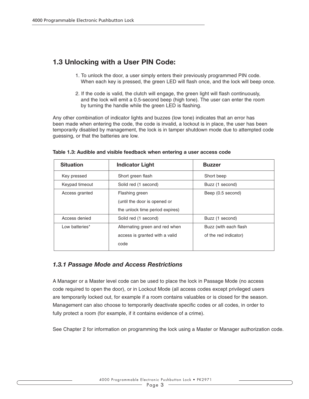### **1.3 Unlocking with a User PIN Code:**

- 1. To unlock the door, a user simply enters their previously programmed PIN code. When each key is pressed, the green LED will flash once, and the lock will beep once.
- 2. If the code is valid, the clutch will engage, the green light will flash continuously, and the lock will emit a 0.5-second beep (high tone). The user can enter the room by turning the handle while the green LED is flashing.

Any other combination of indicator lights and buzzes (low tone) indicates that an error has been made when entering the code, the code is invalid, a lockout is in place, the user has been temporarily disabled by management, the lock is in tamper shutdown mode due to attempted code guessing, or that the batteries are low.

| <b>Situation</b> | <b>Indicator Light</b>          | <b>Buzzer</b>          |
|------------------|---------------------------------|------------------------|
| Key pressed      | Short green flash               | Short beep             |
| Keypad timeout   | Solid red (1 second)            | Buzz (1 second)        |
| Access granted   | Flashing green                  | Beep (0.5 second)      |
|                  | (until the door is opened or    |                        |
|                  | the unlock time period expires) |                        |
| Access denied    | Solid red (1 second)            | Buzz (1 second)        |
| Low batteries*   | Alternating green and red when  | Buzz (with each flash) |
|                  | access is granted with a valid  | of the red indicator)  |
|                  | code                            |                        |

**Table 1.3: Audible and visible feedback when entering a user access code**

### *1.3.1 Passage Mode and Access Restrictions*

A Manager or a Master level code can be used to place the lock in Passage Mode (no access code required to open the door), or in Lockout Mode (all access codes except privileged users are temporarily locked out, for example if a room contains valuables or is closed for the season. Management can also choose to temporarily deactivate specific codes or all codes, in order to fully protect a room (for example, if it contains evidence of a crime).

See Chapter 2 for information on programming the lock using a Master or Manager authorization code.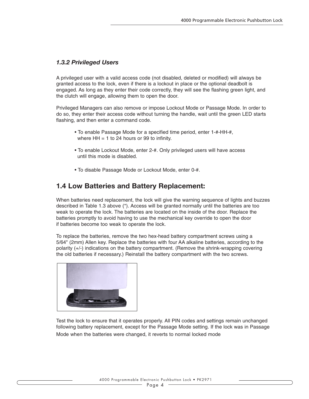### *1.3.2 Privileged Users*

A privileged user with a valid access code (not disabled, deleted or modified) will always be granted access to the lock, even if there is a lockout in place or the optional deadbolt is engaged. As long as they enter their code correctly, they will see the flashing green light, and the clutch will engage, allowing them to open the door.

Privileged Managers can also remove or impose Lockout Mode or Passage Mode. In order to do so, they enter their access code without turning the handle, wait until the green LED starts flashing, and then enter a command code.

- To enable Passage Mode for a specified time period, enter 1-#-HH-#, where  $HH = 1$  to 24 hours or 99 to infinity.
- To enable Lockout Mode, enter 2-#. Only privileged users will have access until this mode is disabled.
- To disable Passage Mode or Lockout Mode, enter 0-#.

### **1.4 Low Batteries and Battery Replacement:**

When batteries need replacement, the lock will give the warning sequence of lights and buzzes described in Table 1.3 above (\*). Access will be granted normally until the batteries are too weak to operate the lock. The batteries are located on the inside of the door. Replace the batteries promptly to avoid having to use the mechanical key override to open the door if batteries become too weak to operate the lock.

To replace the batteries, remove the two hex-head battery compartment screws using a 5/64" (2mm) Allen key. Replace the batteries with four AA alkaline batteries, according to the polarity (+/-) indications on the battery compartment. (Remove the shrink-wrapping covering the old batteries if necessary.) Reinstall the battery compartment with the two screws.



Test the lock to ensure that it operates properly. All PIN codes and settings remain unchanged following battery replacement, except for the Passage Mode setting. If the lock was in Passage Mode when the batteries were changed, it reverts to normal locked mode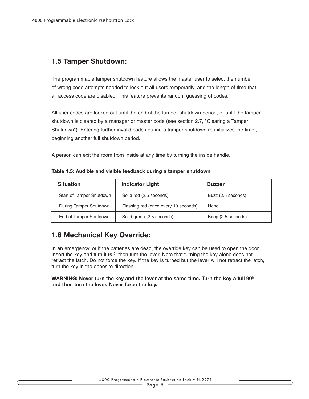### **1.5 Tamper Shutdown:**

The programmable tamper shutdown feature allows the master user to select the number of wrong code attempts needed to lock out all users temporarily, and the length of time that all access code are disabled. This feature prevents random guessing of codes.

All user codes are locked out until the end of the tamper shutdown period, or until the tamper shutdown is cleared by a manager or master code (see section 2.7, "Clearing a Tamper Shutdown"). Entering further invalid codes during a tamper shutdown re-initializes the timer, beginning another full shutdown period.

A person can exit the room from inside at any time by turning the inside handle.

| <b>Situation</b>         | <b>Indicator Light</b>               | <b>Buzzer</b>      |
|--------------------------|--------------------------------------|--------------------|
| Start of Tamper Shutdown | Solid red (2.5 seconds)              | Buzz (2.5 seconds) |
| During Tamper Shutdown   | Flashing red (once every 10 seconds) | None               |
| End of Tamper Shutdown   | Solid green (2.5 seconds)            | Beep (2.5 seconds) |

### **1.6 Mechanical Key Override:**

In an emergency, or if the batteries are dead, the override key can be used to open the door. Insert the key and turn it 90º, then turn the lever. Note that turning the key alone does not retract the latch. Do not force the key. If the key is turned but the lever will not retract the latch, turn the key in the opposite direction.

#### **WARNING: Never turn the key and the lever at the same time. Turn the key a full 90**º **and then turn the lever. Never force the key.**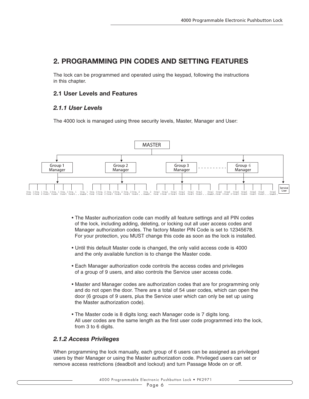### **2. PROGRAMMING PIN CODES AND SETTING FEATURES**

The lock can be programmed and operated using the keypad, following the instructions in this chapter.

### **2.1 User Levels and Features**

### *2.1.1 User Levels*

The 4000 lock is managed using three security levels, Master, Manager and User:



- The Master authorization code can modify all feature settings and all PIN codes of the lock, including adding, deleting, or locking out all user access codes and Manager authorization codes. The factory Master PIN Code is set to 12345678. For your protection, you MUST change this code as soon as the lock is installed.
- Until this default Master code is changed, the only valid access code is 4000 and the only available function is to change the Master code.
- Each Manager authorization code controls the access codes and privileges of a group of 9 users, and also controls the Service user access code.
- Master and Manager codes are authorization codes that are for programming only and do not open the door. There are a total of 54 user codes, which can open the door (6 groups of 9 users, plus the Service user which can only be set up using the Master authorization code).
- The Master code is 8 digits long; each Manager code is 7 digits long. All user codes are the same length as the first user code programmed into the lock, from 3 to 6 digits.

### *2.1.2 Access Privileges*

When programming the lock manually, each group of 6 users can be assigned as privileged users by their Manager or using the Master authorization code. Privileged users can set or remove access restrictions (deadbolt and lockout) and turn Passage Mode on or off.

#### 4000 Programmable Electronic Pushbutton Lock • PK2971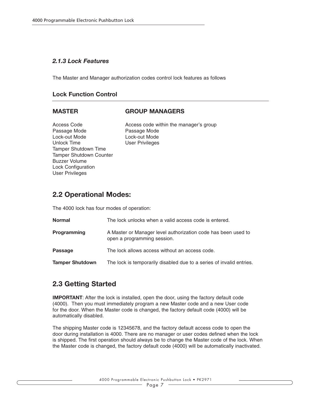### *2.1.3 Lock Features*

The Master and Manager authorization codes control lock features as follows

#### **Lock Function Control**

#### **MASTER GROUP MANAGERS**

Passage Mode **Passage Mode** Lock-out Mode Lock-out Mode Unlock Time User Privileges Tamper Shutdown Time Tamper Shutdown Counter Buzzer Volume Lock Configuration User Privileges

Access Code **Access** code within the manager's group

### **2.2 Operational Modes:**

The 4000 lock has four modes of operation:

| Normal                 | The lock unlocks when a valid access code is entered.                                        |
|------------------------|----------------------------------------------------------------------------------------------|
| Programming            | A Master or Manager level authorization code has been used to<br>open a programming session. |
| Passage                | The lock allows access without an access code.                                               |
| <b>Tamper Shutdown</b> | The lock is temporarily disabled due to a series of invalid entries.                         |

### **2.3 Getting Started**

**IMPORTANT:** After the lock is installed, open the door, using the factory default code (4000). Then you must immediately program a new Master code and a new User code for the door. When the Master code is changed, the factory default code (4000) will be automatically disabled.

The shipping Master code is 12345678, and the factory default access code to open the door during installation is 4000. There are no manager or user codes defined when the lock is shipped. The first operation should always be to change the Master code of the lock. When the Master code is changed, the factory default code (4000) will be automatically inactivated.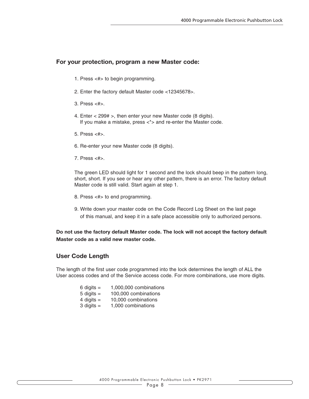#### **For your protection, program a new Master code:**

- 1. Press <#> to begin programming.
- 2. Enter the factory default Master code <12345678>.
- 3. Press  $<#>$
- 4. Enter < 299# >, then enter your new Master code (8 digits). If you make a mistake, press <\*> and re-enter the Master code.
- 5. Press <#>.
- 6. Re-enter your new Master code (8 digits).
- 7. Press <#>.

The green LED should light for 1 second and the lock should beep in the pattern long, short, short. If you see or hear any other pattern, there is an error. The factory default Master code is still valid. Start again at step 1.

- 8. Press <#> to end programming.
- 9. Write down your master code on the Code Record Log Sheet on the last page of this manual, and keep it in a safe place accessible only to authorized persons.

**Do not use the factory default Master code. The lock will not accept the factory default Master code as a valid new master code.**

#### **User Code Length**

The length of the first user code programmed into the lock determines the length of ALL the User access codes and of the Service access code. For more combinations, use more digits.

| 6 digits $=$   | 1,000,000 combinations |
|----------------|------------------------|
| $5$ digits $=$ | 100,000 combinations   |
| 4 digits $=$   | 10,000 combinations    |
| 3 digits $=$   | 1,000 combinations     |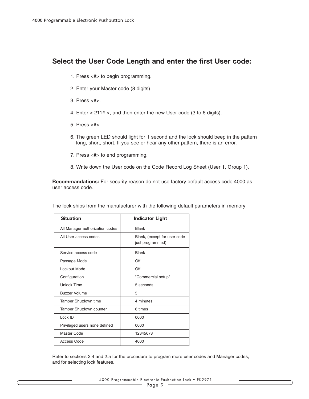### **Select the User Code Length and enter the first User code:**

- 1. Press <#> to begin programming.
- 2. Enter your Master code (8 digits).
- 3. Press <#>.
- 4. Enter < 211# >, and then enter the new User code (3 to 6 digits).
- 5. Press <#>.
- 6. The green LED should light for 1 second and the lock should beep in the pattern long, short, short. If you see or hear any other pattern, there is an error.
- 7. Press <#> to end programming.
- 8. Write down the User code on the Code Record Log Sheet (User 1, Group 1).

**Recommandations:** For security reason do not use factory default access code 4000 as user access code.

| <b>Situation</b>                | <b>Indicator Light</b>                           |
|---------------------------------|--------------------------------------------------|
| All Manager authorization codes | <b>Blank</b>                                     |
| All User access codes           | Blank, (except for user code<br>just programmed) |
| Service access code             | <b>Blank</b>                                     |
| Passage Mode                    | Off                                              |
| Lockout Mode                    | Off                                              |
| Configuration                   | "Commercial setup"                               |
| Unlock Time                     | 5 seconds                                        |
| <b>Buzzer Volume</b>            | 5                                                |
| <b>Tamper Shutdown time</b>     | 4 minutes                                        |
| <b>Tamper Shutdown counter</b>  | 6 times                                          |
| Lock ID                         | 0000                                             |
| Privileged users none defined   | 0000                                             |
| Master Code                     | 12345678                                         |
| Access Code                     | 4000                                             |

The lock ships from the manufacturer with the following default parameters in memory

Refer to sections 2.4 and 2.5 for the procedure to program more user codes and Manager codes, and for selecting lock features.

4000 Programmable Electronic Pushbutton Lock • PK2971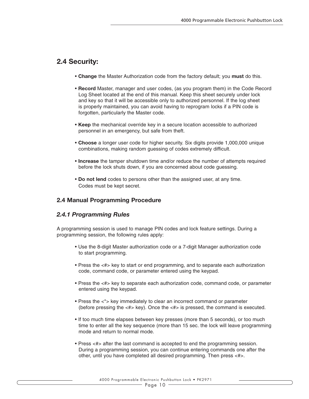### **2.4 Security:**

- **Change** the Master Authorization code from the factory default; you **must** do this.
- **Record** Master, manager and user codes, (as you program them) in the Code Record Log Sheet located at the end of this manual. Keep this sheet securely under lock and key so that it will be accessible only to authorized personnel. If the log sheet is properly maintained, you can avoid having to reprogram locks if a PIN code is forgotten, particularly the Master code.
- **Keep** the mechanical override key in a secure location accessible to authorized personnel in an emergency, but safe from theft.
- **Choose** a longer user code for higher security. Six digits provide 1,000,000 unique combinations, making random guessing of codes extremely difficult.
- **Increase** the tamper shutdown time and/or reduce the number of attempts required before the lock shuts down, if you are concerned about code guessing.
- **Do not lend** codes to persons other than the assigned user, at any time. Codes must be kept secret.

#### **2.4 Manual Programming Procedure**

#### *2.4.1 Programming Rules*

A programming session is used to manage PIN codes and lock feature settings. During a programming session, the following rules apply:

- Use the 8-digit Master authorization code or a 7-digit Manager authorization code to start programming.
- Press the <#> key to start or end programming, and to separate each authorization code, command code, or parameter entered using the keypad.
- Press the <#> key to separate each authorization code, command code, or parameter entered using the keypad.
- Press the <\*> key immediately to clear an incorrect command or parameter (before pressing the <#> key). Once the <#> is pressed, the command is executed.
- If too much time elapses between key presses (more than 5 seconds), or too much time to enter all the key sequence (more than 15 sec. the lock will leave programming mode and return to normal mode.
- Press <#> after the last command is accepted to end the programming session. During a programming session, you can continue entering commands one after the other, until you have completed all desired programming. Then press <#>.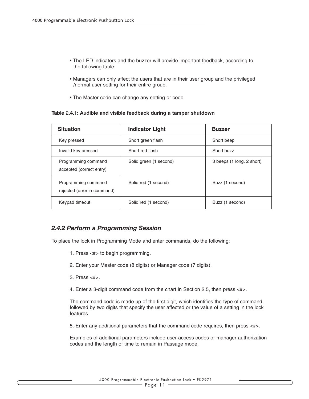- The LED indicators and the buzzer will provide important feedback, according to the following table:
- Managers can only affect the users that are in their user group and the privileged /normal user setting for their entire group.
- The Master code can change any setting or code.

| Table 2.4.1: Audible and visible feedback during a tamper shutdown |  |  |  |  |  |  |
|--------------------------------------------------------------------|--|--|--|--|--|--|
|--------------------------------------------------------------------|--|--|--|--|--|--|

| <b>Situation</b>                                   | <b>Indicator Light</b> | <b>Buzzer</b>             |
|----------------------------------------------------|------------------------|---------------------------|
| Key pressed                                        | Short green flash      | Short beep                |
| Invalid key pressed                                | Short red flash        | Short buzz                |
| Programming command<br>accepted (correct entry)    | Solid green (1 second) | 3 beeps (1 long, 2 short) |
| Programming command<br>rejected (error in command) | Solid red (1 second)   | Buzz (1 second)           |
| Keypad timeout                                     | Solid red (1 second)   | Buzz (1 second)           |

### *2.4.2 Perform a Programming Session*

To place the lock in Programming Mode and enter commands, do the following:

- 1. Press <#> to begin programming.
- 2. Enter your Master code (8 digits) or Manager code (7 digits).
- 3. Press <#>.
- 4. Enter a 3-digit command code from the chart in Section 2.5, then press <#>.

The command code is made up of the first digit, which identifies the type of command, followed by two digits that specify the user affected or the value of a setting in the lock features.

5. Enter any additional parameters that the command code requires, then press <#>.

Examples of additional parameters include user access codes or manager authorization codes and the length of time to remain in Passage mode.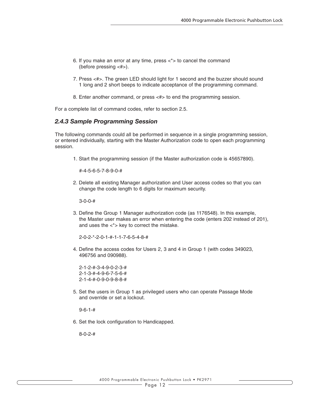- 6. If you make an error at any time, press  $\lt^*$  to cancel the command (before pressing <#>).
- 7. Press <#>. The green LED should light for 1 second and the buzzer should sound 1 long and 2 short beeps to indicate acceptance of the programming command.
- 8. Enter another command, or press <#> to end the programming session.

For a complete list of command codes, refer to section 2.5.

#### *2.4.3 Sample Programming Session*

The following commands could all be performed in sequence in a single programming session, or entered individually, starting with the Master Authorization code to open each programming session.

1. Start the programming session (if the Master authorization code is 45657890).

#-4-5-6-5-7-8-9-0-#

2. Delete all existing Manager authorization and User access codes so that you can change the code length to 6 digits for maximum security.

3-0-0-#

3. Define the Group 1 Manager authorization code (as 1176548). In this example, the Master user makes an error when entering the code (enters 202 instead of 201), and uses the  $\lt^*$  key to correct the mistake.

2-0-2-\*-2-0-1-#-1-1-7-6-5-4-8-#

4. Define the access codes for Users 2, 3 and 4 in Group 1 (with codes 349023, 496756 and 090988).

5. Set the users in Group 1 as privileged users who can operate Passage Mode and override or set a lockout.

9-6-1-#

6. Set the lock configuration to Handicapped.

8-0-2-#

<sup>2-1-2-#-3-4-9-0-2-3-#</sup> 2-1-3-#-4-9-6-7-5-6-# 2-1-4-#-0-9-0-9-8-8-#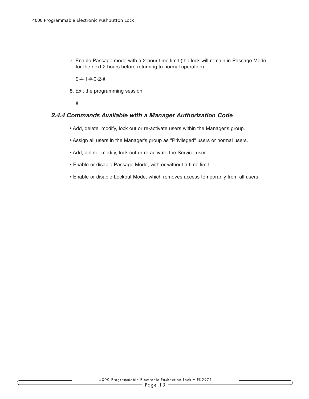7. Enable Passage mode with a 2-hour time limit (the lock will remain in Passage Mode for the next 2 hours before returning to normal operation).

9-4-1-#-0-2-#

8. Exit the programming session.

#

#### *2.4.4 Commands Available with a Manager Authorization Code*

- Add, delete, modify, lock out or re-activate users within the Manager's group.
- Assign all users in the Manager's group as "Privileged" users or normal users.
- Add, delete, modify, lock out or re-activate the Service user.
- Enable or disable Passage Mode, with or without a time limit.
- Enable or disable Lockout Mode, which removes access temporarily from all users.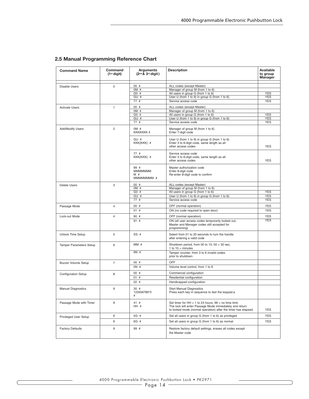| <b>Command Name</b>            | Command<br>$(1st$ digit) | <b>Arguments</b><br>$(2nd & 3rd$ digit)   | <b>Description</b>                                                                                                                                                                   | Available<br>to group<br>Manager |
|--------------------------------|--------------------------|-------------------------------------------|--------------------------------------------------------------------------------------------------------------------------------------------------------------------------------------|----------------------------------|
|                                |                          | 00#                                       | ALL codes (except Master)                                                                                                                                                            |                                  |
| Disable Users                  | $\mathbf 0$              | OM#                                       | Manager of group M (from 1 to 6)                                                                                                                                                     |                                  |
|                                |                          | G0 #                                      | All users in group G (from 1 to 6)                                                                                                                                                   | <b>YES</b>                       |
|                                |                          | GU #                                      | User U (from 1 to 9) in group G (from 1 to 6)                                                                                                                                        | YES                              |
|                                |                          | 77#                                       | Service access code                                                                                                                                                                  | <b>YES</b>                       |
|                                |                          | 00#                                       |                                                                                                                                                                                      |                                  |
| <b>Activate Users</b>          | $\mathbf{1}$             | OM #                                      | ALL codes (except Master)<br>Manager of group M (from 1 to 6)                                                                                                                        |                                  |
|                                |                          | G0 #                                      | All users in group G (from 1 to 6)                                                                                                                                                   | <b>YES</b>                       |
|                                |                          | GU #                                      | User U (from 1 to 9) in group G (from 1 to 6)                                                                                                                                        | <b>YES</b>                       |
|                                |                          | 77#                                       | Service access code                                                                                                                                                                  | <b>YES</b>                       |
| Add/Modify Users               | $\overline{2}$           | OM#<br><b>KKKKKKK#</b>                    | Manager of group M (from 1 to 6)<br>Enter 7-digit code                                                                                                                               |                                  |
|                                |                          | GU #<br>KKK{KKK}#                         | User U (from 1 to 9) in group G (from 1 to 6)<br>Enter 3 to 6-digit code, same length as all<br>other access codes                                                                   | <b>YES</b>                       |
|                                |                          | 77#<br>KKK{KKK}#                          | Service access code<br>Enter 3 to 6-digit code, same length as all<br>other access codes                                                                                             | <b>YES</b>                       |
|                                |                          | 99 #<br><b>MMMMMMM</b><br>M#<br>MMMMMMM # | Master authorization code<br>Enter 8-digit code<br>Re-enter 8-digit code to confirm                                                                                                  |                                  |
| <b>Delete Users</b>            | 3                        | 00#                                       | ALL codes (except Master)                                                                                                                                                            |                                  |
|                                |                          | OM #                                      | Manager of group M (from 1 to 6)                                                                                                                                                     |                                  |
|                                |                          | G0 #                                      | All users in group G (from 1 to 6)                                                                                                                                                   | <b>YES</b>                       |
|                                |                          | GU #                                      | User U (from 1 to 9) in group G (from 1 to 6)                                                                                                                                        | <b>YES</b>                       |
|                                |                          | 77#                                       | Service access code                                                                                                                                                                  | <b>YES</b>                       |
| Passage Mode                   | $\overline{4}$           | 00#                                       | OFF (normal operation)                                                                                                                                                               | <b>YES</b>                       |
|                                |                          | 01#                                       | ON (no code required to open door)                                                                                                                                                   | <b>YES</b>                       |
| Lock-out Mode                  | 4                        | 90 #                                      | OFF (normal operation)                                                                                                                                                               | <b>YES</b>                       |
|                                |                          | 91#                                       | ON (all user access codes temporarily locked out,<br>Master and Manager codes still accepted for<br>programming)                                                                     | <b>YES</b>                       |
| <b>Unlock Time Setup</b>       | 5                        | SS#                                       | Select from 01 to 20 seconds to turn the handle<br>after entering a valid code                                                                                                       |                                  |
| <b>Tamper Parameters Setup</b> | 6                        | MM#                                       | Shutdown period, from 00 to 15; $00 = 30$ sec,<br>1 to $15 =$ minutes                                                                                                                |                                  |
|                                |                          | 9N #                                      | Tamper counter, from 3 to 6 invalid codes<br>prior to shutdown                                                                                                                       |                                  |
| <b>Buzzer Volume Setup</b>     | $\overline{7}$           | 00#                                       | OFF                                                                                                                                                                                  |                                  |
|                                |                          | ON#                                       | Volume level control, from 1 to 9                                                                                                                                                    |                                  |
|                                | 8                        | 00#                                       | Commercial configuration                                                                                                                                                             |                                  |
| Configuration Setup            |                          | 01#                                       | Residential configuration                                                                                                                                                            |                                  |
|                                |                          | 02#                                       | Handicapped configuration                                                                                                                                                            |                                  |
| <b>Manual Diagnostics</b>      | 9                        | 30 #<br>123456789*0<br>#                  | <b>Start Manual Diagnostics</b><br>Press each key in sequence to test the keypad.a                                                                                                   |                                  |
| Passage Mode with Timer        | 9                        | 41#<br>HH #                               | Set timer for $HH = 1$ to 24 hours, 99 = no time limit.<br>The lock will enter Passage Mode immediately and return<br>to locked mode (normal operation) after the timer has elapsed. | <b>YES</b>                       |
| <b>Privileged User Setup</b>   | 9                        | 5G #                                      | Set all users in group G (from 1 to 6) as privileged                                                                                                                                 | <b>YES</b>                       |
|                                | 9                        | 6G #                                      | Set all users in group G (from 1 to 6) as normal                                                                                                                                     | <b>YES</b>                       |
| <b>Factory Defaults</b>        | 9                        | 99 #                                      | Restore factory default settings, erases all codes except<br>the Master code                                                                                                         |                                  |

#### **2.5 Manual Programming Reference Chart**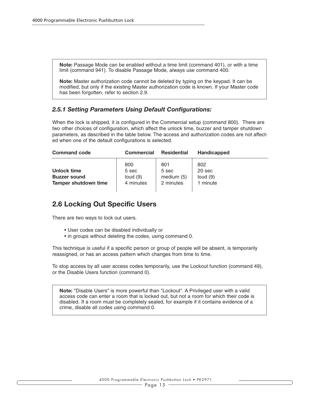**Note:** Passage Mode can be enabled without a time limit (command 401), or with a time limit (command 941). To disable Passage Mode, always use command 400.

**Note:** Master authorization code cannot be deleted by typing on the keypad. It can be modified, but only if the existing Master authorization code is known. If your Master code has been forgotten, refer to section 2.9.

#### *2.5.1 Setting Parameters Using Default Configurations:*

When the lock is shipped, it is configured in the Commercial setup (command 800). There are two other choices of configuration, which affect the unlock time, buzzer and tamper shutdown parameters, as described in the table below. The access and authorization codes are not affected when one of the default configurations is selected.

| <b>Command code</b>                                               | <b>Commercial</b>                       | <b>Residential</b>                        | <b>Handicapped</b>                      |  |
|-------------------------------------------------------------------|-----------------------------------------|-------------------------------------------|-----------------------------------------|--|
| Unlock time<br><b>Buzzer sound</b><br><b>Tamper shutdown time</b> | 800<br>5 sec<br>loud $(9)$<br>4 minutes | 801<br>5 sec<br>medium $(5)$<br>2 minutes | 802<br>20 sec<br>loud $(9)$<br>1 minute |  |

### **2.6 Locking Out Specific Users**

There are two ways to lock out users.

- User codes can be disabled individually or
- in groups without deleting the codes, using command 0.

This technique is useful if a specific person or group of people will be absent, is temporarily reassigned, or has an access pattern which changes from time to time.

To stop access by all user access codes temporarily, use the Lockout function (command 49), or the Disable Users function (command 0).

**Note:** "Disable Users" is more powerful than "Lockout". A Privileged user with a valid access code can enter a room that is locked out, but not a room for which their code is disabled. If a room must be completely sealed, for example if it contains evidence of a crime, disable all codes using command 0.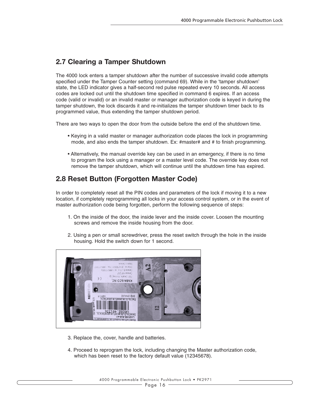### **2.7 Clearing a Tamper Shutdown**

The 4000 lock enters a tamper shutdown after the number of successive invalid code attempts specified under the Tamper Counter setting (command 69). While in the 'tamper shutdown' state, the LED indicator gives a half-second red pulse repeated every 10 seconds. All access codes are locked out until the shutdown time specified in command 6 expires. If an access code (valid or invalid) or an invalid master or manager authorization code is keyed in during the tamper shutdown, the lock discards it and re-initializes the tamper shutdown timer back to its programmed value, thus extending the tamper shutdown period.

There are two ways to open the door from the outside before the end of the shutdown time.

- Keying in a valid master or manager authorization code places the lock in programming mode, and also ends the tamper shutdown. Ex: #master# and # to finish programming.
- Alternatively, the manual override key can be used in an emergency, if there is no time to program the lock using a manager or a master level code. The override key does not remove the tamper shutdown, which will continue until the shutdown time has expired.

### **2.8 Reset Button (Forgotten Master Code)**

In order to completely reset all the PIN codes and parameters of the lock if moving it to a new location, if completely reprogramming all locks in your access control system, or in the event of master authorization code being forgotten, perform the following sequence of steps:

- 1. On the inside of the door, the inside lever and the inside cover. Loosen the mounting screws and remove the inside housing from the door.
- 2. Using a pen or small screwdriver, press the reset switch through the hole in the inside housing. Hold the switch down for 1 second.



- 3. Replace the, cover, handle and batteries.
- 4. Proceed to reprogram the lock, including changing the Master authorization code, which has been reset to the factory default value (12345678).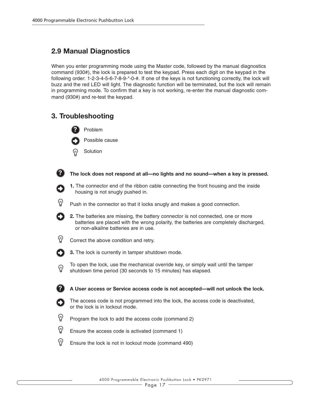### **2.9 Manual Diagnostics**

When you enter programming mode using the Master code, followed by the manual diagnostics command (930#), the lock is prepared to test the keypad. Press each digit on the keypad in the following order: 1-2-3-4-5-6-7-8-9-\*-0-#. If one of the keys is not functioning correctly, the lock will buzz and the red LED will light. The diagnostic function will be terminated, but the lock will remain in programming mode. To confirm that a key is not working, re-enter the manual diagnostic command (930#) and re-test the keypad.

### **3. Troubleshooting**

**?**





**A User access or Service access code is not accepted—will not unlock the lock.**

The access code is not programmed into the lock, the access code is deactivated, or the lock is in lockout mode.

(၇) Program the lock to add the access code (command 2)

- ଡ଼ Ensure the access code is activated (command 1)
- ଡ Ensure the lock is not in lockout mode (command 490)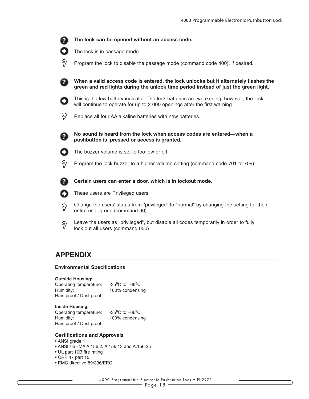

## **APPENDIX**

#### **Environmental Specifications**

#### **Outside Housing:**

| Operating temperature:  | $-35^{\circ}$ C to $+66^{\circ}$ C |
|-------------------------|------------------------------------|
| Humidity:               | 100% condensing                    |
| Rain proof / Dust proof |                                    |

#### **Inside Housing:**

Operating temperature: -35ºC to +66ºC Humidity: 100% condensing Rain proof / Dust proof

### **Certifications and Approvals**

- ANSI grade 1
- ANSI / BHMA A.156.2, A.156.13 and A.156.25
- UL part 10B fire rating
- CRF 47 part 15
- EMC directive 89/336/EEC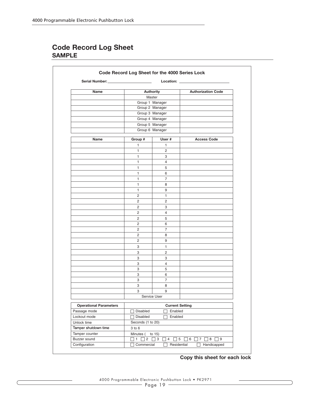### **Code Record Log Sheet SAMPLE**

| Serial Number:                | Location: __                              |                        |                           |
|-------------------------------|-------------------------------------------|------------------------|---------------------------|
| Name                          | <b>Authority</b><br>Master                |                        | <b>Authorization Code</b> |
|                               |                                           |                        |                           |
|                               |                                           | Group 2 Manager        |                           |
|                               |                                           | Group 3 Manager        |                           |
|                               |                                           | Group 4 Manager        |                           |
|                               |                                           | Group 5 Manager        |                           |
|                               |                                           | Group 6 Manager        |                           |
| Name                          | Group #                                   | User#                  | <b>Access Code</b>        |
|                               | 1                                         | 1                      |                           |
|                               | 1                                         | 2                      |                           |
|                               | 1                                         | З                      |                           |
|                               | 1                                         | $\overline{4}$         |                           |
|                               | 1                                         | 5                      |                           |
|                               | 1                                         | 6                      |                           |
|                               | 1                                         | $\overline{7}$         |                           |
|                               | $\mathbf{1}$                              | 8                      |                           |
|                               | 1                                         | 9                      |                           |
|                               | 2                                         | $\mathbf{1}$           |                           |
|                               | $\overline{2}$                            | $\overline{2}$         |                           |
|                               | 2                                         | 3                      |                           |
|                               | 2                                         | $\overline{4}$         |                           |
|                               | 2                                         | 5                      |                           |
|                               | $\overline{2}$                            | 6                      |                           |
|                               | $\overline{2}$                            | $\overline{7}$         |                           |
|                               | 2                                         | 8                      |                           |
|                               | $\overline{2}$                            | 9                      |                           |
|                               | 3                                         | 1                      |                           |
|                               | 3                                         | $\mathbf{2}^{\prime}$  |                           |
|                               | 3                                         | 3                      |                           |
|                               | 3                                         | $\overline{4}$         |                           |
|                               | 3                                         | 5                      |                           |
|                               | 3                                         | 6                      |                           |
|                               | 3                                         | $\overline{7}$         |                           |
|                               | 3                                         | 8                      |                           |
|                               | 3                                         | 9                      |                           |
|                               |                                           | Service User           |                           |
| <b>Operational Parameters</b> |                                           | <b>Current Setting</b> |                           |
| Passage mode                  | $\Box$ Disabled<br>Enabled                |                        |                           |
| Lockout mode                  | $\Box$ Disabled<br>Enabled<br>n.          |                        |                           |
| Unlock time                   | Seconds (1 to 20)                         |                        |                           |
| Tamper shutdown time          | 3 to 6                                    |                        |                           |
| Tamper counter                | Minutes (<br>to $15)$                     |                        |                           |
| Buzzer sound                  | $\Box$ 1 $\Box$ 2<br>$\Box$ 3<br>$\Box$ 4 |                        |                           |
| Configuration                 | Commercial<br>Residential<br>Handicapped  |                        |                           |

**Copy this sheet for each lock**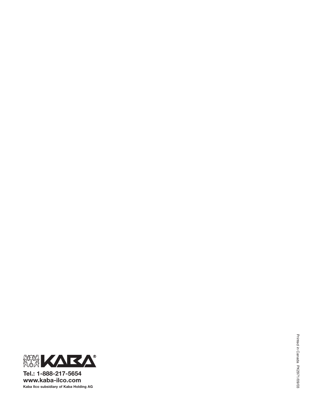

**Tel.: 1-888-217-5654 www.kaba-ilco.com Kaba Ilco subsidiary of Kaba Holding AG**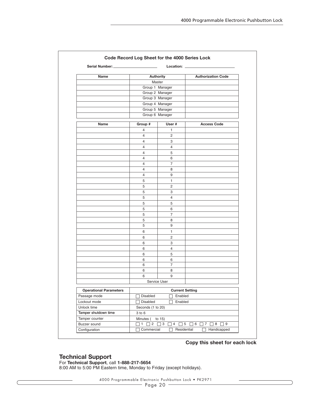| Name                          | <b>Authority</b>                                                                                                  |                | <b>Authorization Code</b> |  |
|-------------------------------|-------------------------------------------------------------------------------------------------------------------|----------------|---------------------------|--|
|                               | Master                                                                                                            |                |                           |  |
|                               | Group 1 Manager                                                                                                   |                |                           |  |
|                               | Group 2 Manager                                                                                                   |                |                           |  |
|                               | Group 3 Manager                                                                                                   |                |                           |  |
|                               | Group 4 Manager<br>Group 5 Manager                                                                                |                |                           |  |
|                               |                                                                                                                   |                |                           |  |
|                               | Group 6 Manager                                                                                                   |                |                           |  |
| Name                          | Group #<br>User #                                                                                                 |                | <b>Access Code</b>        |  |
|                               | $\overline{4}$                                                                                                    | 1              |                           |  |
|                               | $\overline{4}$                                                                                                    | 2              |                           |  |
|                               | $\overline{4}$                                                                                                    | 3              |                           |  |
|                               | $\overline{4}$                                                                                                    | $\overline{4}$ |                           |  |
|                               | $\overline{4}$                                                                                                    | 5              |                           |  |
|                               | $\overline{4}$                                                                                                    | 6              |                           |  |
|                               | $\overline{4}$                                                                                                    | $\overline{7}$ |                           |  |
|                               | $\overline{4}$                                                                                                    | 8              |                           |  |
|                               | $\overline{4}$                                                                                                    | 9              |                           |  |
|                               | 5                                                                                                                 | $\mathbf{1}$   |                           |  |
|                               | 5                                                                                                                 | $\overline{2}$ |                           |  |
|                               | 5                                                                                                                 | 3              |                           |  |
|                               | 5                                                                                                                 | $\overline{4}$ |                           |  |
|                               | 5                                                                                                                 | 5              |                           |  |
|                               | 5                                                                                                                 | 6              |                           |  |
|                               | 5                                                                                                                 | $\overline{7}$ |                           |  |
|                               | 5                                                                                                                 | 8              |                           |  |
|                               | 5                                                                                                                 | 9              |                           |  |
|                               | 6                                                                                                                 | $\mathbf{1}$   |                           |  |
|                               | 6                                                                                                                 | $\overline{2}$ |                           |  |
|                               | 6                                                                                                                 | 3              |                           |  |
|                               | 6                                                                                                                 | $\overline{4}$ |                           |  |
|                               | 6                                                                                                                 | 5              |                           |  |
|                               | 6                                                                                                                 | 6              |                           |  |
|                               | 6                                                                                                                 | $\overline{7}$ |                           |  |
|                               | 6                                                                                                                 | 8              |                           |  |
|                               | 6                                                                                                                 | 9              |                           |  |
|                               | Service User                                                                                                      |                |                           |  |
| <b>Operational Parameters</b> |                                                                                                                   |                |                           |  |
| Passage mode                  | <b>Current Setting</b><br>Disabled<br>Enabled                                                                     |                |                           |  |
| Lockout mode                  | □ Disabled<br>Enabled                                                                                             |                |                           |  |
| Unlock time                   | Seconds (1 to 20)                                                                                                 |                |                           |  |
| Tamper shutdown time          | $3$ to $6$                                                                                                        |                |                           |  |
| Tamper counter                | Minutes (<br>to $15)$                                                                                             |                |                           |  |
| Buzzer sound                  | $\Box$ 1 $\Box$ 2<br>$\Box$ 3<br>$\Box$ 4<br>$\overline{\phantom{a}}$ 5<br>$\Box$ 6 $\Box$ 7<br>$\Box$ 8 $\Box$ 9 |                |                           |  |
| Configuration                 | Commercial<br>Residential<br>Handicapped                                                                          |                |                           |  |

#### **Copy this sheet for each lock**

#### **Technical Support**

For **Technical Support**, call **1-888-217-5654** 8:00 AM to 5:00 PM Eastern time, Monday to Friday (except holidays).